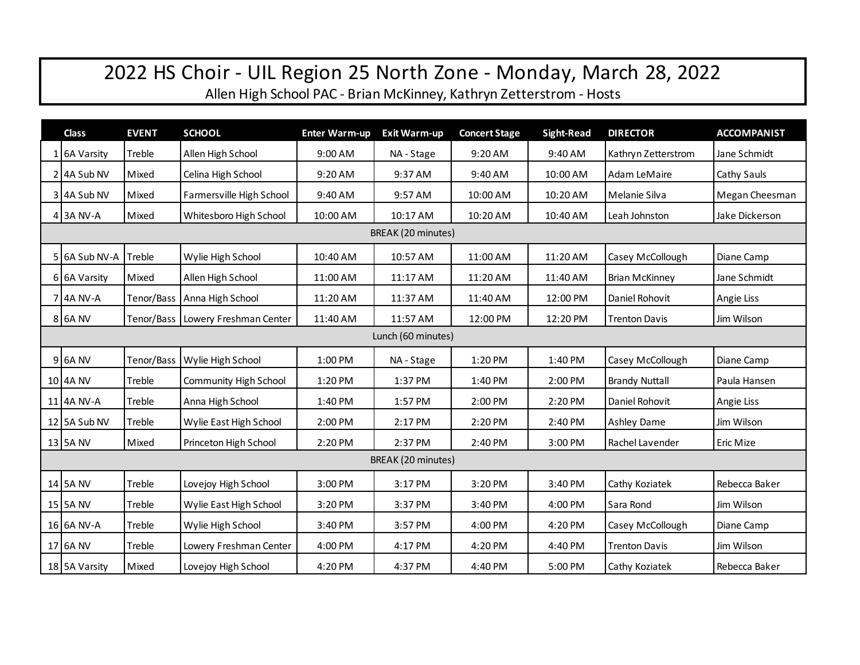## 2022 HS Choir - UIL Region 25 North Zone - Monday, March 28, 2022

Allen High School PAC - Brian McKinney, Kathryn Zetterstrom - Hosts

|                    | <b>Class</b>  | <b>EVENT</b> | <b>SCHOOL</b>                     | <b>Enter Warm-up</b> | <b>Exit Warm-up</b> | <b>Concert Stage</b> | <b>Sight-Read</b> | <b>DIRECTOR</b>       | <b>ACCOMPANIST</b> |  |
|--------------------|---------------|--------------|-----------------------------------|----------------------|---------------------|----------------------|-------------------|-----------------------|--------------------|--|
|                    | 1 6A Varsity  | Treble       | Allen High School                 | 9:00 AM              | NA - Stage          | 9:20 AM              | 9:40 AM           | Kathryn Zetterstrom   | Jane Schmidt       |  |
|                    | 2 4A Sub NV   | Mixed        | Celina High School                | 9:20 AM              | 9:37 AM             | 9:40 AM              | 10:00 AM          | Adam LeMaire          | Cathy Sauls        |  |
|                    | 3 4A Sub NV   | Mixed        | Farmersville High School          | 9:40 AM              | 9:57 AM             | 10:00 AM             | 10:20 AM          | Melanie Silva         | Megan Cheesman     |  |
|                    | 4 3A NV-A     | Mixed        | Whitesboro High School            | 10:00 AM             | 10:17 AM            | 10:20 AM             | 10:40 AM          | Leah Johnston         | Jake Dickerson     |  |
| BREAK (20 minutes) |               |              |                                   |                      |                     |                      |                   |                       |                    |  |
|                    | 5 6A Sub NV-A | Treble       | Wylie High School                 | 10:40 AM             | 10:57 AM            | 11:00 AM             | 11:20 AM          | Casey McCollough      | Diane Camp         |  |
|                    | 6 6A Varsity  | Mixed        | Allen High School                 | 11:00 AM             | 11:17 AM            | 11:20 AM             | 11:40 AM          | <b>Brian McKinney</b> | Jane Schmidt       |  |
|                    | 7 4A NV-A     |              | Tenor/Bass Anna High School       | 11:20 AM             | 11:37 AM            | 11:40 AM             | 12:00 PM          | Daniel Rohovit        | Angie Liss         |  |
|                    | 8 6A NV       |              | Tenor/Bass Lowery Freshman Center | 11:40 AM             | 11:57 AM            | 12:00 PM             | 12:20 PM          | <b>Trenton Davis</b>  | Jim Wilson         |  |
| Lunch (60 minutes) |               |              |                                   |                      |                     |                      |                   |                       |                    |  |
|                    | 9 6A NV       | Tenor/Bass   | Wylie High School                 | 1:00 PM              | NA - Stage          | 1:20 PM              | 1:40 PM           | Casey McCollough      | Diane Camp         |  |
|                    | 10 4A NV      | Treble       | Community High School             | 1:20 PM              | 1:37 PM             | 1:40 PM              | 2:00 PM           | <b>Brandy Nuttall</b> | Paula Hansen       |  |
|                    | 11 4A NV-A    | Treble       | Anna High School                  | 1:40 PM              | 1:57 PM             | 2:00 PM              | 2:20 PM           | Daniel Rohovit        | Angie Liss         |  |
|                    | 12 5A Sub NV  | Treble       | Wylie East High School            | 2:00 PM              | 2:17 PM             | 2:20 PM              | 2:40 PM           | Ashley Dame           | Jim Wilson         |  |
|                    | 13 5A NV      | Mixed        | Princeton High School             | 2:20 PM              | 2:37 PM             | 2:40 PM              | 3:00 PM           | Rachel Lavender       | <b>Eric Mize</b>   |  |
| BREAK (20 minutes) |               |              |                                   |                      |                     |                      |                   |                       |                    |  |
|                    | 14 5A NV      | Treble       | Lovejoy High School               | 3:00 PM              | 3:17 PM             | 3:20 PM              | 3:40 PM           | Cathy Koziatek        | Rebecca Baker      |  |
|                    | 15 5A NV      | Treble       | Wylie East High School            | 3:20 PM              | 3:37 PM             | 3:40 PM              | 4:00 PM           | Sara Rond             | Jim Wilson         |  |
|                    | 16 6A NV-A    | Treble       | Wylie High School                 | 3:40 PM              | 3:57 PM             | 4:00 PM              | 4:20 PM           | Casey McCollough      | Diane Camp         |  |
|                    | 17 6A NV      | Treble       | Lowery Freshman Center            | 4:00 PM              | 4:17 PM             | 4:20 PM              | 4:40 PM           | <b>Trenton Davis</b>  | Jim Wilson         |  |
|                    | 18 5A Varsity | Mixed        | Lovejoy High School               | 4:20 PM              | 4:37 PM             | 4:40 PM              | 5:00 PM           | Cathy Koziatek        | Rebecca Baker      |  |